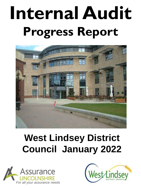# **Internal Audit Progress Report**



# **West Lindsey District Council January 2022**



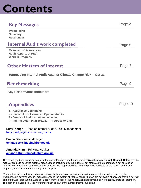# **Contents**

### **Key Messages** Page 2

| <b>Introduction</b><br><b>Summary</b><br><b>Assurances</b>                                                                                                                   |         |
|------------------------------------------------------------------------------------------------------------------------------------------------------------------------------|---------|
| <b>Internal Audit work completed</b>                                                                                                                                         | Page 5  |
| <b>Overview of Assurances</b><br><b>Audit Reports at Draft</b><br><b>Work in Progress</b>                                                                                    |         |
| <b>Other Matters of Interest</b>                                                                                                                                             | Page 8  |
| Harnessing Internal Audit Against Climate Change Risk - Oct 21                                                                                                               |         |
| <b>Benchmarking</b>                                                                                                                                                          | Page 9  |
| <b>Key Performance Indicators</b>                                                                                                                                            |         |
| <b>Appendices</b>                                                                                                                                                            | Page 10 |
| <b>1 - Assurance Definitions</b><br>2 - Limited/Low Assurance Opinion Audits<br>3 - Details of Actions not Implemented<br>4 - Internal Audit Plan 2021/22 - Progress to Date |         |
| Lucy Pledge - Head of Internal Audit & Risk Management<br>lucy.pledge@lincolnshire.gov.uk                                                                                    |         |
| <b>Emma Bee</b> - Audit Manager<br>emma.Bee@lincolnshire.gov.uk                                                                                                              |         |
| <b>Amanda Hunt</b> - Principal Auditor                                                                                                                                       |         |

**[amanda.Hunt@lincolnshire.gov.uk](mailto:amanda.Hunt@lincolnshire.gov.uk)**

This report has been prepared solely for the use of Members and Management of **West Lindsey District Council.** Details may be made available to specified external organisations, including external auditors, but otherwise the report should not be used or referred to in whole or in part without prior consent. No responsibility to any third party is accepted as the report has not been prepared, and is not intended for any other purpose.

The matters raised in this report are only those that came to our attention during the course of our work – there may be weaknesses in governance, risk management and the system of internal control that we are not aware of because they did not form part of our work programme, were excluded from the scope of individual audit engagements or were not bought to our attention. The opinion is based solely the work undertaken as part of the agreed internal audit plan. 1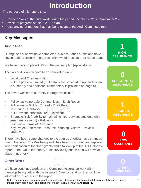# **Introduction**

The purpose of this report is to:

- Provide details of the audit work during the period October 2021 to November 2021
- Advise on progress of the 2021/22 plan
- Raise any other matters that may be relevant to the Audit Committee role

### **Key Messages**

### **Audit Plan**

During the period we have completed two assurance audits and have seven audits currently in progress with two of these at draft report stage.

We have now completed 50% of the revised plan (Appendix 4).

The two audits which have been completed are:-

- Local Land Charges High
- ICT Helpdesk Limited (Full details are provided in Appendix 2 and a summary and additional commentary is provided on page 5)

The seven which are currently in progress include:-

- Follow-up Vulnerable Communities Draft Report
- Follow –up Golden Thread Draft Report
- Insurance Fieldwork
- ICT Network infrastructure Fieldwork
- Strategic Risk (Inability to maintain critical services and deal with emergency events) - Fieldwork
- Flooding Terms of Reference
- Key Project Enterprise Resource Planning System Review underway

There have been some changes to the plan as priorities have changed during the year. The Wellbeing audit has been postponed and replaced with certification of the flood grants and a follow-up of the ICT Helpdesk report. The Value for money audit previously put on hold will now take place in quarter 4.

### **Other Work**

We have continued work on the Combined Assurance work with meetings being held with the Assistant Directors and will then pull the information together into the report.

**1 HIGH ASSURANCE**

> **0 SUBSTANTIAL ASSURANCE**

**1 LIMITED ASSURANCE**

**0 LOW ASSURANCE**

**0 OTHER REPORTS**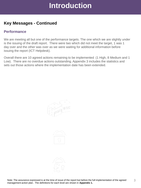# **Introduction**

### **Key Messages - Continued**

### **Performance**

We are meeting all but one of the performance targets. The one which we are slightly under is the issuing of the draft report. There were two which did not meet the target, 1 was 1 day over and the other was over as we were waiting for additional information before issuing the report (ICT Helpdesk).

Overall there are 10 agreed actions remaining to be implemented (1 High, 8 Medium and 1 Low). There are no overdue actions outstanding. Appendix 3 includes the statistics and sets out those actions where the implementation date has been extended.



3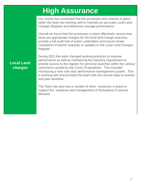# **High Assurance**

Our review has concluded that the processes and controls in place within the team are working well to maintain an accurate Local Land Charges Register and effectively manage performance.

Overall we found that the processes in place effectively ensure that there are appropriate charges for the local land charge searches, provide a full audit trail of action undertaken and ensure timely completion of search requests or updates to the Local Land Charges Register.

### **Local Land charges**

During 2021 the team changed working practices to improve performance as well as maintaining the statutory requirement to provide access to the register for personal searches within the various restrictions caused by the Covid 19 pandemic. This included introducing a new 'one stop' performance management system. This is working well and provides the team with live service data to monitor and plan workflow.

The Team has also has a number of other measures in place to support the resilience and management of fluctuations in service demand.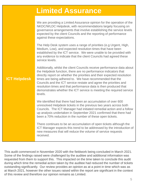# **Limited Assurance**

**ICT Helpdesk**

We are providing a Limited Assurance opinion for the operation of the NKDC/WLDC Helpdesk, with recommendations largely focusing on governance arrangements that involve establishing the service levels expected by the client Councils and the reporting of performance against these expectations.

The Help Desk system uses a range of priorities (e.g Urgent, High, Medium, Low), and expected resolution times that have been established by the ICT service. We were unable to be provided with any evidence to indicate that the client Councils had agreed these service levels.

Additionally, whilst the client Councils receive performance data about the Helpdesk function, there are no performance indicators that directly report on whether the priorities and their expected resolution times are being adhered to. We have recommended that the Councils and the ICT service restate and agree the priorities and resolution times and that performance data is then produced that demonstrates whether the ICT service is meeting the required service levels.

We identified that there had been an accumulation of over 600 unresolved Helpdesk tickets in the previous two years across both Councils. The ICT Manager had initiated remedial action and a follow up analysis undertaken in September 2021 confirmed that there had been a 70% reduction in the number of these open tickets.

There continues to be an accumulation of open tickets although the ICT Manager expects this trend to be addressed by the introduction of new measures that will reduce the volume of service requests received.

This audit commenced in November 2020 with the fieldwork being concluded in March 2021. Some of the findings raised were challenged by the auditee and additional information was requested from them to support this. This impacted on the time taken to conclude this audit during which time the remedial action taken by the auditee had reduced the number of tickets outstanding significantly. Our review provides an opinion as at a point in time which was as at March 2021, however the other issues raised within the report are significant in the context of this review and therefore our opinion remains as Limited.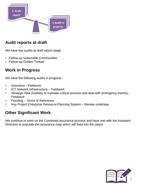

### **Audit reports at draft**

We have two audits at draft report stage:

- Follow-up Vulnerable Communities
- Follow-up Golden Thread

### **Work in Progress**

We have the following audits in progress :

- Insurance Fieldwork
- ICT Network infrastructure Fieldwork
- Strategic Risk (Inability to maintain critical services and deal with emergency events) Fieldwork
- Flooding Terms of Reference
- Key Project Enterprise Resource Planning System Review underway

### **Other Significant Work**

We continue to work on the Combined assurance process and have met with the Assistant Directors to populate the assurance map which will feed into the report.

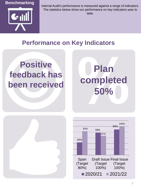

Internal Audit's performance is measured against a range of indicators. The statistics below show our performance on key indicators year to date.

# **Performance on Key Indicators**

# **Positive feedback has been received**

**Plan completed 50%**



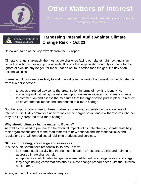

# **Other Matters of Interest**

A summary of matters that will be of particular interest to Audit Committee Members



### **Harnessing Internal Audit Against Climate Change Risk - Oct 21**

Below are some of the key extracts from the IIA report:-

Climate change is arguably the most acute challenge facing our planet right now and is an issue that is firmly moving up the agenda. It is one that organisations simply cannot afford to ignore or sideline any longer, for those that do not take action face the genuine risk of an existential crisis.

Internal audit has a responsibility to add true value to the work of organisations on climate risk from two perspectives:

- to act as a trusted advisor to the organisation in terms of how it is identifying, managing and mitigating the risks and opportunities associated with climate change.
- to comment on and assess the measures that the organisation puts in place to reduce its environmental impact and contribution to climate change.

But the responsibility to rise to these challenges does not rest solely on the shoulders of internal audit. Audit committees need to look at their organisation and ask themselves whether they are fully prepared for climate change

### **Why should climate change matter to Boards?**

As well as the need to prepare for the physical impacts of climate change, Boards must help their organisations adapt to the requirements of new national and international laws and regulations that will embed sustainability in products and services.

### **Skills and training, knowledge and resources**

It is the Audit Committees responsibility to ensure that:-

- its internal audit activity has the right combination of resources, skills and training to address climate change risk
- an appreciation of climate change risk is embedded within an organisation's strategy
- they begin having conversations about climate change preparedness with their internal audit teams.

A copy of the full report is available on request.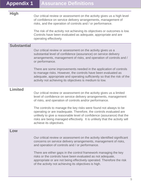**High** Our critical review or assessment on the activity gives us a high level of confidence on service delivery arrangements, management of risks, and the operation of controls and / or performance.

> The risk of the activity not achieving its objectives or outcomes is low. Controls have been evaluated as adequate, appropriate and are operating effectively.

### **Substantial**

Our critical review or assessment on the activity gives us a substantial level of confidence (assurance) on service delivery arrangements, management of risks, and operation of controls and / or performance.

There are some improvements needed in the application of controls to manage risks. However, the controls have been evaluated as adequate, appropriate and operating sufficiently so that the risk of the activity not achieving its objectives is medium to low.

### **Limited**

Our critical review or assessment on the activity gives us a limited level of confidence on service delivery arrangements, management of risks, and operation of controls and/or performance.

The controls to manage the key risks were found not always to be operating or are inadequate. Therefore, the controls evaluated are unlikely to give a reasonable level of confidence (assurance) that the risks are being managed effectively. It is unlikely that the activity will achieve its objectives.

### **Low**

Our critical review or assessment on the activity identified significant concerns on service delivery arrangements, management of risks, and operation of controls and / or performance.

There are either gaps in the control framework managing the key risks or the controls have been evaluated as not adequate, appropriate or are not being effectively operated. Therefore the risk of the activity not achieving its objectives is high.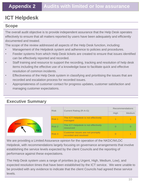# **Appendix 2 Audits with limited or low assurance**

## **ICT Helpdesk**

### **Scope**

The overall audit objective is to provide independent assurance that the Help Desk operates effectively to ensure that all matters reported by users have been adequately and efficiently documented and treated.

The scope of the review addressed all aspects of the Help Desk function, including:

- Management of the Helpdesk system and adherence to policies and procedures.
- Feeder systems from which Help Desk tickets are created to ensure that issues identified can be effectively reported and recorded.
- Staff training and resource to support the recording, tracking and resolution of help desk items including the effective use of a knowledge base to facilitate quick and effective resolution of common incidents.
- Effectiveness of the Help Desk system in classifying and prioritising the issues that are recorded and escalation process for recorded issues.
- Appropriateness of customer contact for progress updates, customer satisfaction and managing customer expectations.

### **Executive Summary**

|                                                                      | <b>Risk</b>   | Current Rating (R-A-G)                                    | <b>Recommendations</b> |        |
|----------------------------------------------------------------------|---------------|-----------------------------------------------------------|------------------------|--------|
|                                                                      |               |                                                           |                        | Medium |
| <b>Substantial</b><br><b>Limited</b><br><b>High</b><br><b>CELLEN</b> | Risk 1        | The ICT Helpdesk is not effectively<br>managed            |                        |        |
|                                                                      | Risk 2        | The ICT Helpdesk is not effectively<br>resourced          | $\Omega$               |        |
|                                                                      | <b>Risk 3</b> | Customer issues are not promptly<br>recorded and resolved |                        |        |

We are providing a Limited Assurance opinion for the operation of the NKDC/WLDC Helpdesk, with recommendations largely focusing on governance arrangements that involve establishing the service levels expected by the client Councils and the reporting of performance against these expectations.

The Help Desk system uses a range of priorities (e.g Urgent, High, Medium, Low), and expected resolution times that have been established by the ICT service. We were unable to be provided with any evidence to indicate that the client Councils had agreed these service levels.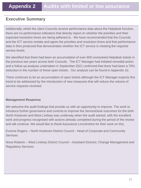### **Executive Summary**

Additionally, whilst the client Councils receive performance data about the Helpdesk function, there are no performance indicators that directly report on whether the priorities and their expected resolution times are being adhered to. We have recommended that the Councils and the ICT service restate and agree the priorities and resolution times and that performance data is then produced that demonstrates whether the ICT service is meeting the required service levels.

We identified that there had been an accumulation of over 600 unresolved Helpdesk tickets in the previous two years across both Councils. The ICT Manager had initiated remedial action and a follow up analysis undertaken in September 2021 confirmed that there had been a 70% reduction in the number of these open tickets. Our analysis can be found in Appendix 1b.

There continues to be an accumulation of open tickets although the ICT Manager expects this trend to be addressed by the introduction of new measures that will reduce the volume of service requests received.

### **Management Response**

We welcome the audit findings that provide us with an opportunity to improve. The work to introduce further governance and controls to improve the ServiceDesk outcomes for the both North Kesteven and West Lindsey was underway when the audit started, with the excellent work and progress recognised with actions already completed during the period of the review and will continue. We would like to thank Assurance Lincolnshire for their work on this.

Evonne Rogers – North Kesteven District Council - Head of Corporate and Community **Services** 

Nova Roberts – West Lindsey District Council – Assistant Director, Change Management and Regulatory Services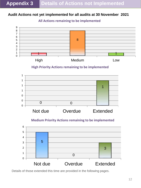### **Audit Actions not yet implemented for all audits at 30 November 2021**

### **All Actions remaining to be implemented**



**High Priority Actions remaining to be implemented**



### **Medium Priority Actions remaining to be implemented**



Details of those extended this time are provided in the following pages.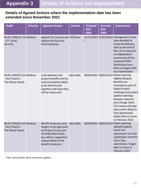### **Details of Agreed Actions where the implementation date has been extended since November 2021**

| <b>Audit</b>                                                  | <b>Priority</b> | <b>Agreed Action</b>                                                                                                                                                   | <b>Owner</b> | <b>Original</b><br>due<br>date | <b>Current</b><br>due<br>date | <b>Comments</b>                                                                                                                                                                                                                                                                                                            |
|---------------------------------------------------------------|-----------------|------------------------------------------------------------------------------------------------------------------------------------------------------------------------|--------------|--------------------------------|-------------------------------|----------------------------------------------------------------------------------------------------------------------------------------------------------------------------------------------------------------------------------------------------------------------------------------------------------------------------|
| WLDC 2020/21-10 Medium<br>- ICT Email<br>Security             |                 | Agreed The Council will Cliff Dean<br>replace the Security<br>Email Gateway.                                                                                           |              |                                |                               | 31/12/2021 31/03/2022 Management Team<br>have decided to<br>move the delivery<br>date to the end of<br>Mar-22 to allow for<br>an independent<br>assessment of the<br>proposed PMO.<br>Workshops have<br>been arranged with<br>key stakeholders                                                                             |
| WLDC 2020/21-03 Medium<br>- Key Projects -<br>The Waste Depot |                 | Links between the<br>project benefits and its<br>outcomes/deliverables<br>to be determined<br>together with how they<br>will be measured.                              | Ady Selby    |                                |                               | 30/04/2021 28/02/2022 Depot opening<br>slightly delayed.<br><b>Benefits</b> are<br>reviewed as part of<br>Depot Project<br>meetings and project<br>update meetings<br>between Sponsor<br>and Change Team.<br>Full review will take<br>place when depot is<br>fully operational,<br>target date to move<br>to February 2022 |
| WLDC 2020/21-03 Medium<br>- Key Projects -<br>The Waste Depot |                 | Benefit measures and<br>targets to be approved<br>by Project Group and<br>Portfolio Board with<br>key officers appointed<br>responsibility of the<br>benefit measures. | Ady Selby    |                                |                               | 30/04/2021 28/02/2022 Depot opening<br>delayed slightly,<br>hence full<br>assessment can't be<br>undertaken until the<br>site is fully<br>operational. Target<br>date to move to<br>February 2022                                                                                                                          |

\* Was not overdue when extension applied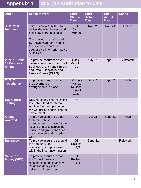| <b>Audit</b>                                         | <b>Scope of Work</b>                                                                                                                                                                                                          | <b>Start</b><br><b>Planned</b><br><b>Date</b>                       | <b>Start</b><br><b>Actual</b><br><b>Date</b> | <b>End</b><br><b>Actual</b><br><b>Date</b> | <b>Rating</b> |
|------------------------------------------------------|-------------------------------------------------------------------------------------------------------------------------------------------------------------------------------------------------------------------------------|---------------------------------------------------------------------|----------------------------------------------|--------------------------------------------|---------------|
| 2020/21 ICT<br><b>Helpdesk</b>                       | Joint review with NKDC to<br>review the effectiveness and<br>efficiency of the helpdesk<br>The previously unallocated<br>ICT days have been added to<br>this review to enable a<br>deeper dive into Performance<br>& Delivery | Q <sub>4</sub><br>$Jan -$<br><b>Mar 20</b>                          | <b>Nov -20</b>                               | <b>Nov -21</b>                             | Limited       |
| 2020/21 Covid<br><b>19 Business</b><br><b>Grants</b> | To provide assurance over<br>claims in relation to the Small<br><b>Business Grant Fund (SBGF)</b><br>and Retail, Hospitality and<br>Leisure Grants (RHLG).                                                                    | Q4/Q1<br>Mar- Jun<br>21                                             | May -21                                      | Sept -21                                   | Substantial   |
| 2020/21<br><b>Together 24</b>                        | To provide assurance over<br>the governance<br>arrangements in place                                                                                                                                                          | $Q4$ Jan $-$<br><b>Mar 21</b><br><b>Revised</b><br>to April<br>2021 | Apr-21                                       | Sept -21                                   | High          |
| <b>Key Control</b><br><b>Testing</b>                 | Delivery of key control testing<br>to enable Head of Internal<br>Audit to form an opinion on<br>the Council's financial control<br>environment.                                                                               | Q4                                                                  |                                              |                                            |               |
| <b>Grants</b><br>awarded                             | To provide assurance that<br>there are robust<br>arrangements in place for the<br>issuing of grants across the<br>council and grant conditions<br>are monitored and complied<br>with                                          | Q2                                                                  | $Jul-21$                                     | Sept -21                                   | High          |
| <b>Insurance</b>                                     | To provide assurance around<br>the adequacy and<br>effectiveness of processes<br>within the insurance function                                                                                                                | Q <sub>1</sub><br>Revised<br>to Q3                                  | Sept -21                                     |                                            | Fieldwork     |
| <b>Value for</b><br><b>Money (VFM)</b>               | To provide assurance that<br>the Council takes all<br>reasonable steps to achieve<br>Value for Money in the<br>delivery of its services.                                                                                      | Q <sub>1</sub><br><b>Revised</b><br>to Q4                           |                                              |                                            |               |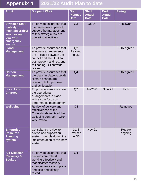| <b>Audit</b>                                                                                                            | <b>Scope of Work</b>                                                                                                                                                         | <b>Start</b><br><b>Planned</b><br><b>Date</b> | <b>Start</b><br><b>Actual</b><br><b>Date</b> | <b>End</b><br><b>Actual</b><br><b>Date</b> | <b>Rating</b>            |
|-------------------------------------------------------------------------------------------------------------------------|------------------------------------------------------------------------------------------------------------------------------------------------------------------------------|-----------------------------------------------|----------------------------------------------|--------------------------------------------|--------------------------|
| <b>Strategic Risk -</b><br><b>Inability to</b><br>maintain critical<br>services and<br>deal with<br>emergency<br>events | To provide assurance that<br>the processes in place to<br>support the management<br>of this strategic risk are<br>operating effectively                                      | Q3                                            | <b>Oct-21</b>                                |                                            | <b>Fieldwork</b>         |
| <b>Flood</b><br><b>Management</b>                                                                                       | To provide assurance that<br>adequate arrangements<br>are in place between the<br>council and the LLFA to<br>both prevent and respond<br>to flooding - Client wide<br>review | Q2<br><b>Revised</b><br>to Q3                 |                                              |                                            | <b>TOR</b> agreed        |
| <b>Carbon</b><br><b>Management</b>                                                                                      | To provide assurance that<br>the plans in place to tackle<br>climate change are<br>relevant, fit for purpose<br>and achievable                                               | Q <sub>4</sub>                                |                                              |                                            | <b>TOR</b> agreed        |
| <b>Local Land</b><br><b>Charges</b>                                                                                     | To provide assurance over<br>the operational<br>arrangements in place<br>with a core focus on<br>performance management                                                      | Q2                                            | <b>Jul-2021</b>                              | <b>Nov-21</b>                              | High                     |
| Wellbeing                                                                                                               | Review of delivery and<br>effectiveness of the<br>Council's elements of the<br>wellbeing contract. - Client<br>wide review                                                   | Q <sub>4</sub>                                |                                              |                                            | Removed                  |
| <b>Enterprise</b><br><b>Resource</b><br><b>Planning</b><br>system                                                       | Consultancy review to<br>advise and support on<br>system controls during the<br>implementation of this new<br>system                                                         | $Q1-3$<br><b>Revised</b><br>to Q <sub>3</sub> | <b>Nov-21</b>                                |                                            | <b>Review</b><br>ongoing |
| <b>ICT Disaster</b><br><b>Recovery &amp;</b><br><b>Backup</b>                                                           | To provide assurance that<br>backups are robust,<br>working effectively and<br>that disaster recovery<br>arrangements are in place<br>and also periodically<br>tested.       | Q <sub>4</sub>                                |                                              |                                            |                          |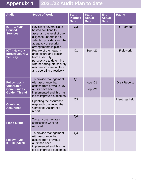| <b>Audit</b>                                                                           | <b>Scope of Work</b>                                                                                                                                                                   | <b>Start</b><br><b>Planned</b><br><b>Date</b> | <b>Start</b><br><b>Actual</b><br><b>Date</b> | <b>End</b><br><b>Actual</b><br><b>Date</b> | <b>Rating</b>        |
|----------------------------------------------------------------------------------------|----------------------------------------------------------------------------------------------------------------------------------------------------------------------------------------|-----------------------------------------------|----------------------------------------------|--------------------------------------------|----------------------|
| <b>ICT - Cloud/</b><br><b>Housed</b><br><b>Services</b>                                | Review of several cloud<br>hosted solutions to<br>ascertain the level of due<br>diligence undertaken of<br>selected providers and the<br>adequacy of security<br>arrangements in place | Q3                                            |                                              |                                            | <b>TOR drafted</b>   |
| <b>ICT - Network</b><br>Infrastructure &<br><b>Security</b>                            | Review of the network<br>architecture and design<br>from a security<br>perspective to determine<br>whether adequate security<br>mechanisms are in place<br>and operating effectively.  | Q <sub>1</sub>                                | Sept -21                                     |                                            | <b>Fieldwork</b>     |
| <b>Follow-ups:-</b><br><b>Vulnerable</b><br><b>Communities</b><br><b>Golden Thread</b> | To provide management<br>with assurance that<br>actions from previous key<br>audits have been<br>implemented and this has<br>led to improved outcomes.                                 | Q <sub>1</sub>                                | Aug - 21<br>Sept-21                          |                                            | <b>Draft Reports</b> |
| <b>Combined</b><br><b>Assurance</b>                                                    | Updating the assurance<br>map and completing the<br><b>Combined Assurance</b><br>report.                                                                                               | Q <sub>3</sub>                                |                                              |                                            | Meetings held        |
| <b>Flood Grant</b>                                                                     | To carry out the grant<br>certification work as<br>required.                                                                                                                           | Q <sub>4</sub>                                |                                              |                                            |                      |
| $Follow - Up -$<br><b>ICT Helpdesk</b>                                                 | To provide management<br>with assurance that<br>actions from previous<br>audit has been<br>implemented and this has<br>led to improved outcomes                                        | Q4                                            |                                              |                                            |                      |